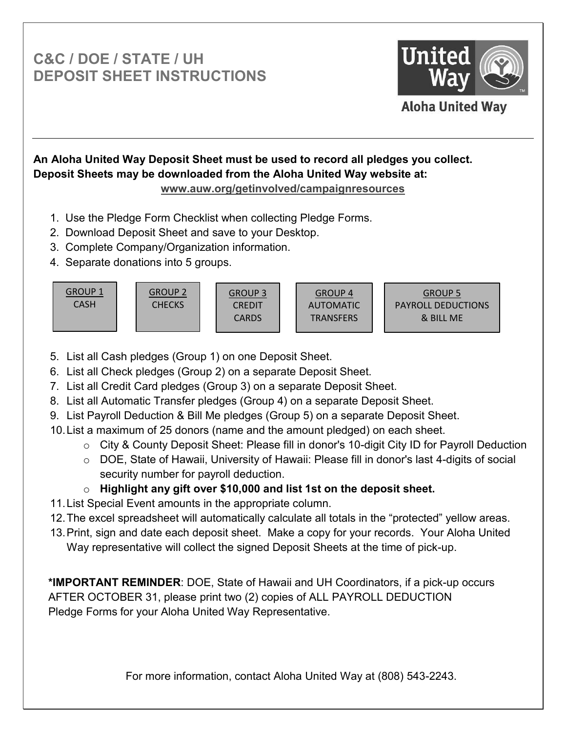# **C&C / DOE / STATE / UH DEPOSIT SHEET INSTRUCTIONS**



## **An Aloha United Way Deposit Sheet must be used to record all pledges you collect. Deposit Sheets may be downloaded from the Aloha United Way website at: www.auw.org/getinvolved/campaignresources**

- 1. Use the Pledge Form Checklist when collecting Pledge Forms.
- 2. Download Deposit Sheet and save to your Desktop.
- 3. Complete Company/Organization information.
- 4. Separate donations into 5 groups.

GROUP 1 CASH GROUP 2 CHECKS GROUP 3 CREDIT CARDS GROUP 4 AUTOMATIC TRANSFERS GROUP 5 PAYROLL DEDUCTIONS & BILL ME

- 5. List all Cash pledges (Group 1) on one Deposit Sheet.
- 6. List all Check pledges (Group 2) on a separate Deposit Sheet.
- 7. List all Credit Card pledges (Group 3) on a separate Deposit Sheet.
- 8. List all Automatic Transfer pledges (Group 4) on a separate Deposit Sheet.
- 9. List Payroll Deduction & Bill Me pledges (Group 5) on a separate Deposit Sheet.
- 10. List a maximum of 25 donors (name and the amount pledged) on each sheet.
	- $\circ$  City & County Deposit Sheet: Please fill in donor's 10-digit City ID for Payroll Deduction
	- o DOE, State of Hawaii, University of Hawaii: Please fill in donor's last 4-digits of social security number for payroll deduction.

## o **Highlight any gift over \$10,000 and list 1st on the deposit sheet.**

- 11. List Special Event amounts in the appropriate column.
- 12.The excel spreadsheet will automatically calculate all totals in the "protected" yellow areas.
- 13. Print, sign and date each deposit sheet. Make a copy for your records. Your Aloha United Way representative will collect the signed Deposit Sheets at the time of pick-up.

**\*IMPORTANT REMINDER**: DOE, State of Hawaii and UH Coordinators, if a pick-up occurs AFTER OCTOBER 31, please print two (2) copies of ALL PAYROLL DEDUCTION Pledge Forms for your Aloha United Way Representative.

For more information, contact Aloha United Way at (808) 543-2243.